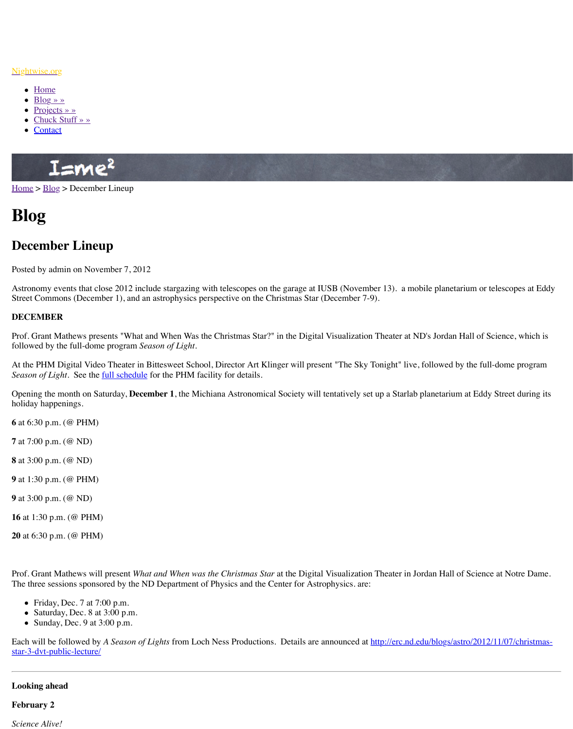Astronomy events that close 2012 include stargazing with telescopes on the garage at IOSB  $\overline{\phantom{a}}$ Street Commons (December 1), and an astrophysics perspective on the Christmas Star (December 1).

## **DECEMBER**

Prof. Grant Mathews presents "What and When Was the Christmas Star?" in the Digital Visu followed by the full-dome program *Season of Light.*

At the PHM Digital Video Theater in Bittesweet School, Director Art Klinger will present " *Seaso[n of Li](http://www.nightwise.org/)ght*. See the full schedule for the PHM facility for details.

Open[ing the mont](http://www.nightwise.org/projects/)h on Saturday, **December 1**, the Michiana Astronomical Society will tenta holid[ay happenings.](http://www.nightwise.org/chuck-stuff/) 

**6** at 6[:30 p.m.](http://www.nightwise.org/contact/) (@ PHM)

- **7** at 7:00 p.m. (@ ND)
- **8** at 3:00 p.m. (@ ND)
- **9** [at 1:](http://www.nightwise.org/)3[0 p.m.](http://www.nightwise.org/blog/) (@ PHM)
- **9** at 3:00 p.m. (@ ND)
- **16** at 1:30 p.m. (@ PHM)
- **20** at 6:30 p.m. (@ PHM)

Prof. Grant Mathews will present *What and When was the Christmas Star* at the Digital Visu The three sessions sponsored by the ND Department of Physics and the Center for Astrophy

- Friday, Dec. 7 at 7:00 p.m.
- Saturday, Dec. 8 at 3:00 p.m.
- Sunday, Dec. 9 at  $3:00$  p.m.

Each will be followed by *A Season of Lights* from Loch Ness Productions. Details are announced at  $h$ star-3-dvt-public-lecture/

## **Looking ahead**

## **February 2**

*Science Alive!*